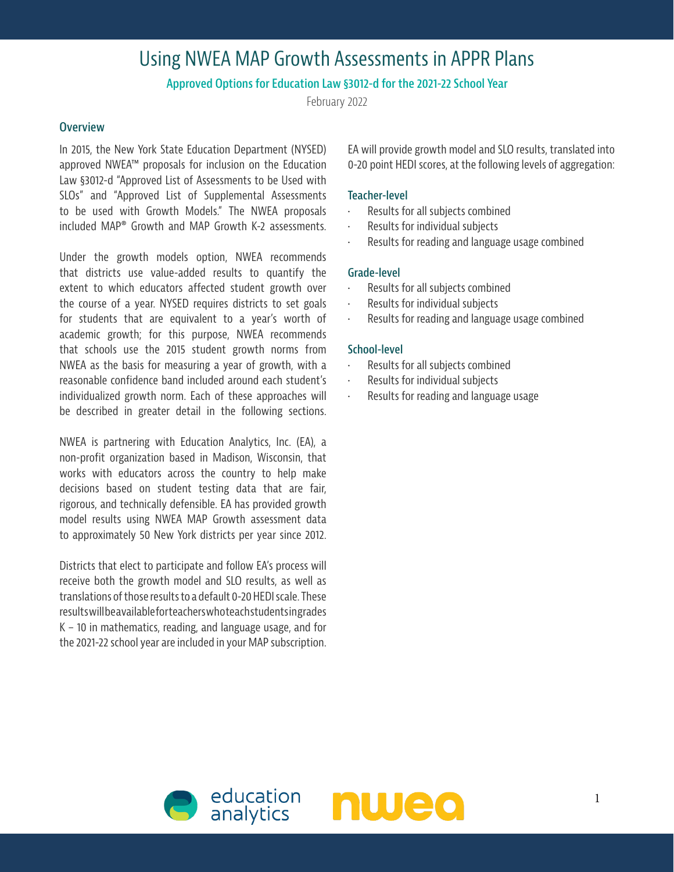# Using NWEA MAP Growth Assessments in APPR Plans

# **Approved Options for Education Law §3012-d for the 2021-22 School Year**

February 2022

## **Overview**

In 2015, the New York State Education Department (NYSED) approved NWEA™ proposals for inclusion on the Education Law §3012-d "Approved List of Assessments to be Used with SLOs" and "Approved List of Supplemental Assessments to be used with Growth Models." The NWEA proposals included MAP® Growth and MAP Growth K-2 assessments.

Under the growth models option, NWEA recommends that districts use value-added results to quantify the extent to which educators affected student growth over the course of a year. NYSED requires districts to set goals for students that are equivalent to a year's worth of academic growth; for this purpose, NWEA recommends that schools use the 2015 student growth norms from NWEA as the basis for measuring a year of growth, with a reasonable confidence band included around each student's individualized growth norm. Each of these approaches will be described in greater detail in the following sections.

NWEA is partnering with Education Analytics, Inc. (EA), a non-profit organization based in Madison, Wisconsin, that works with educators across the country to help make decisions based on student testing data that are fair, rigorous, and technically defensible. EA has provided growth model results using NWEA MAP Growth assessment data to approximately 50 New York districts per year since 2012.

Districts that elect to participate and follow EA's process will receive both the growth model and SLO results, as well as translations of those results to a default 0-20 HEDI scale. These results will be available for teachers who teach students in grades K – 10 in mathematics, reading, and language usage, and for the 2021-22 school year are included in your MAP subscription. EA will provide growth model and SLO results, translated into 0-20 point HEDI scores, at the following levels of aggregation:

## **Teacher-level**

- Results for all subjects combined
- Results for individual subjects
- Results for reading and language usage combined

#### **Grade-level**

- Results for all subjects combined
- Results for individual subjects
- Results for reading and language usage combined

#### **School-level**

- Results for all subjects combined
- Results for individual subjects
- Results for reading and language usage



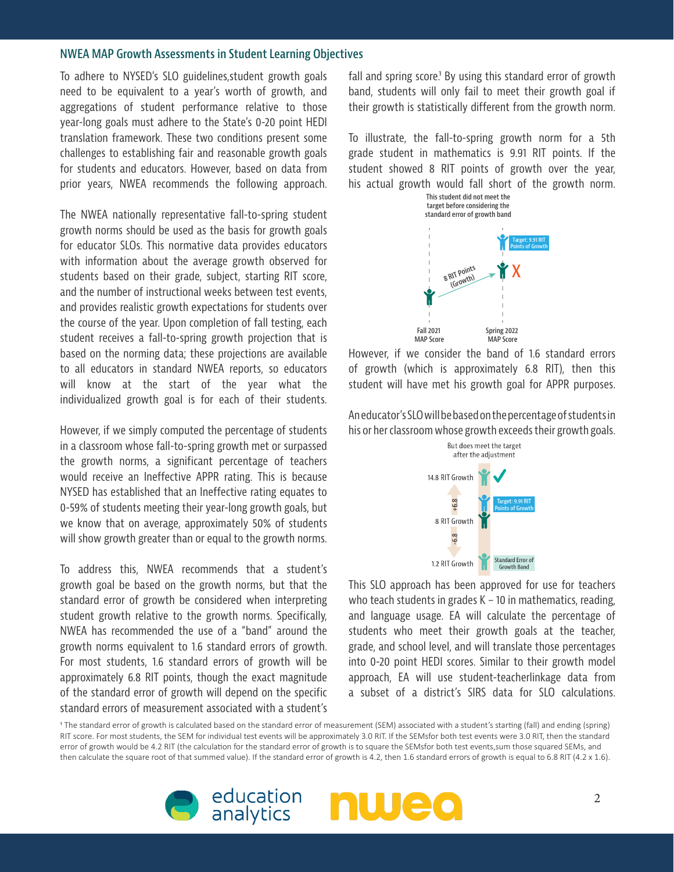#### **NWEA MAP Growth Assessments in Student Learning Objectives**

To adhere to NYSED's SLO guidelines,student growth goals need to be equivalent to a year's worth of growth, and aggregations of student performance relative to those year-long goals must adhere to the State's 0-20 point HEDI translation framework. These two conditions present some challenges to establishing fair and reasonable growth goals for students and educators. However, based on data from prior years, NWEA recommends the following approach.

The NWEA nationally representative fall-to-spring student growth norms should be used as the basis for growth goals for educator SLOs. This normative data provides educators with information about the average growth observed for students based on their grade, subject, starting RIT score, and the number of instructional weeks between test events, and provides realistic growth expectations for students over the course of the year. Upon completion of fall testing, each student receives a fall-to-spring growth projection that is based on the norming data; these projections are available to all educators in standard NWEA reports, so educators will know at the start of the year what the individualized growth goal is for each of their students.

However, if we simply computed the percentage of students in a classroom whose fall-to-spring growth met or surpassed the growth norms, a significant percentage of teachers would receive an Ineffective APPR rating. This is because NYSED has established that an Ineffective rating equates to 0-59% of students meeting their year-long growth goals, but we know that on average, approximately 50% of students will show growth greater than or equal to the growth norms.

To address this, NWEA recommends that a student's growth goal be based on the growth norms, but that the standard error of growth be considered when interpreting student growth relative to the growth norms. Specifically, NWEA has recommended the use of a "band" around the growth norms equivalent to 1.6 standard errors of growth. For most students, 1.6 standard errors of growth will be approximately 6.8 RIT points, though the exact magnitude of the standard error of growth will depend on the specific standard errors of measurement associated with a student's

fall and spring score.<sup>1</sup> By using this standard error of growth band, students will only fail to meet their growth goal if their growth is statistically different from the growth norm.

To illustrate, the fall-to-spring growth norm for a 5th grade student in mathematics is 9.91 RIT points. If the student showed 8 RIT points of growth over the year, his actual growth would fall short of the growth norm.



However, if we consider the band of 1.6 standard errors of growth (which is approximately 6.8 RIT), then this student will have met his growth goal for APPR purposes.

An educator's SLO will be based on the percentage of students in his or her classroom whose growth exceeds their growth goals.



This SLO approach has been approved for use for teachers who teach students in grades  $K - 10$  in mathematics, reading, and language usage. EA will calculate the percentage of students who meet their growth goals at the teacher, grade, and school level, and will translate those percentages into 0-20 point HEDI scores. Similar to their growth model approach, EA will use student-teacherlinkage data from a subset of a district's SIRS data for SLO calculations.

1 The standard error of growth is calculated based on the standard error of measurement (SEM) associated with a student's starting (fall) and ending (spring) RIT score. For most students, the SEM for individual test events will be approximately 3.0 RIT. If the SEMsfor both test events were 3.0 RIT, then the standard error of growth would be 4.2 RIT (the calculation for the standard error of growth is to square the SEMsfor both test events,sum those squared SEMs, and then calculate the square root of that summed value). If the standard error of growth is 4.2, then 1.6 standard errors of growth is equal to 6.8 RIT (4.2 x 1.6).

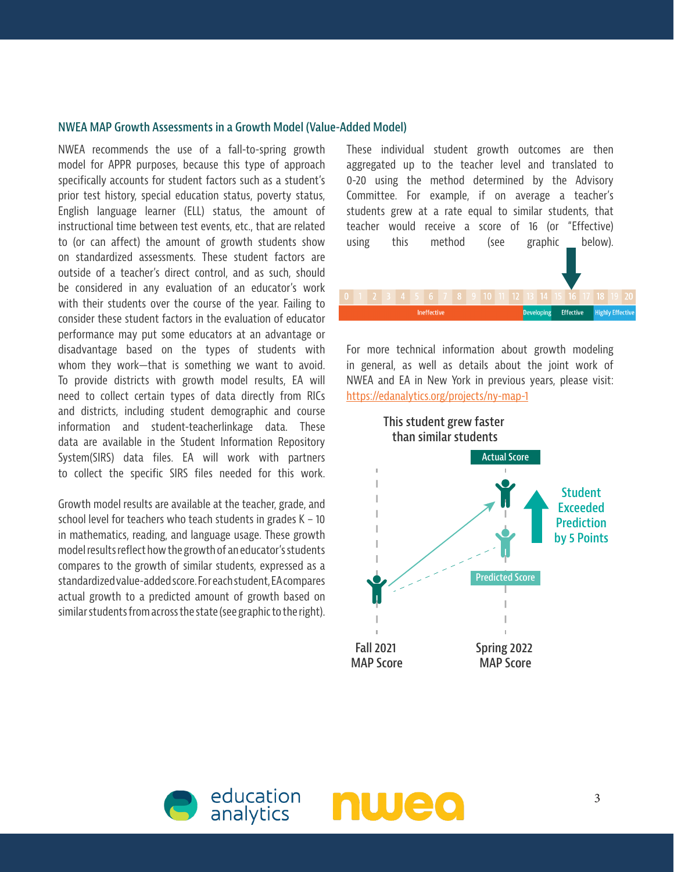## **NWEA MAP Growth Assessments in a Growth Model (Value-Added Model)**

NWEA recommends the use of a fall-to-spring growth model for APPR purposes, because this type of approach specifically accounts for student factors such as a student's prior test history, special education status, poverty status, English language learner (ELL) status, the amount of instructional time between test events, etc., that are related to (or can affect) the amount of growth students show on standardized assessments. These student factors are outside of a teacher's direct control, and as such, should be considered in any evaluation of an educator's work with their students over the course of the year. Failing to consider these student factors in the evaluation of educator performance may put some educators at an advantage or disadvantage based on the types of students with whom they work—that is something we want to avoid. To provide districts with growth model results, EA will need to collect certain types of data directly from RICs and districts, including student demographic and course information and student-teacherlinkage data. These data are available in the Student Information Repository System(SIRS) data files. EA will work with partners to collect the specific SIRS files needed for this work.

Growth model results are available at the teacher, grade, and school level for teachers who teach students in grades K – 10 in mathematics, reading, and language usage. These growth model results reflect how the growth of an educator's students compares to the growth of similar students, expressed as a standardized value-added score. For each student, EA compares actual growth to a predicted amount of growth based on similar students from across the state (see graphic to the right).

These individual student growth outcomes are then aggregated up to the teacher level and translated to 0-20 using the method determined by the Advisory Committee. For example, if on average a teacher's students grew at a rate equal to similar students, that teacher would receive a score of 16 (or "Effective) using this method (see graphic below).

For more technical information about growth modeling in general, as well as details about the joint work of NWEA and EA in New York in previous years, please visit: <https://edanalytics.org/projects/ny-map-1>

Ineffective

Developing Effective Highly Effective